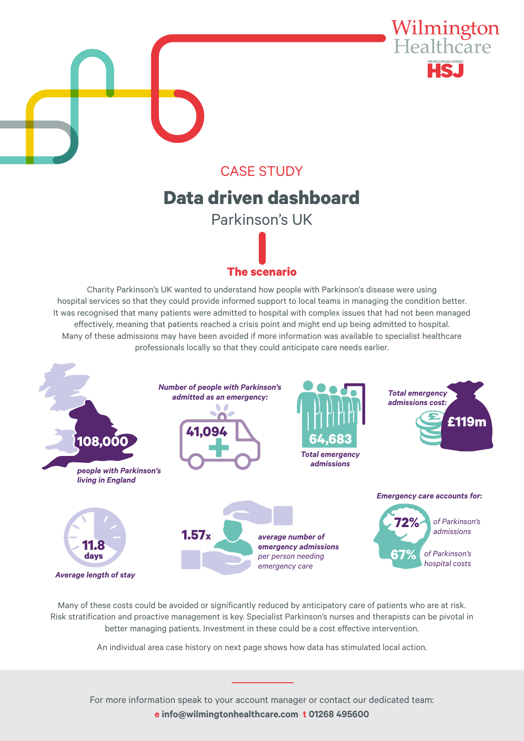

## CASE STUDY **Data driven dashboard**

ETT TENNIS<br>California de la **Key respectively. The instrument of the support of the support of the support**  $\mathbf{r}$  **insight to support**  $\mathbf{r}$ Parkinson's UK

### **the exercise The scenario**

**Prostation**<br>Charity Parkinson's UK wanted to understand how people with Parkinson's disease were using hospital services so that they could provide informed support to local teams in managing the condition better. It was recognised that many patients were admitted to hospital with complex issues that had not been managed effectively, meaning that patients reached a crisis point and might end up being admitted to hospital. Many of these admissions may have been avoided if more information was available to specialist healthcare professionals locally so that they could anticipate care needs earlier.



terms of field force to support product launch and where the support product launch and where the support of t<br>The total field force to support product launch and where the support of the support of the support of the supp Many of these costs could be avoided or significantly reduced by anticipatory care of patients who are at risk.<br>And the costs could be avoided or significantly reduced by anticipatory care of patients who are at risk. Risk stratification and proactive management is key. Specialist Parkinson's nurses and therapists can be pivotal in better managing patients. Investment in these could be a cost effective intervention.

An individual area case history on next page shows how data has stimulated local action.

For more information speak to your account manager or contact our dedicated team: **e pharma.team@wilmingtonhealthcare.com t 01268 495600 e info@wilmingtonhealthcare.com t 01268 495600**